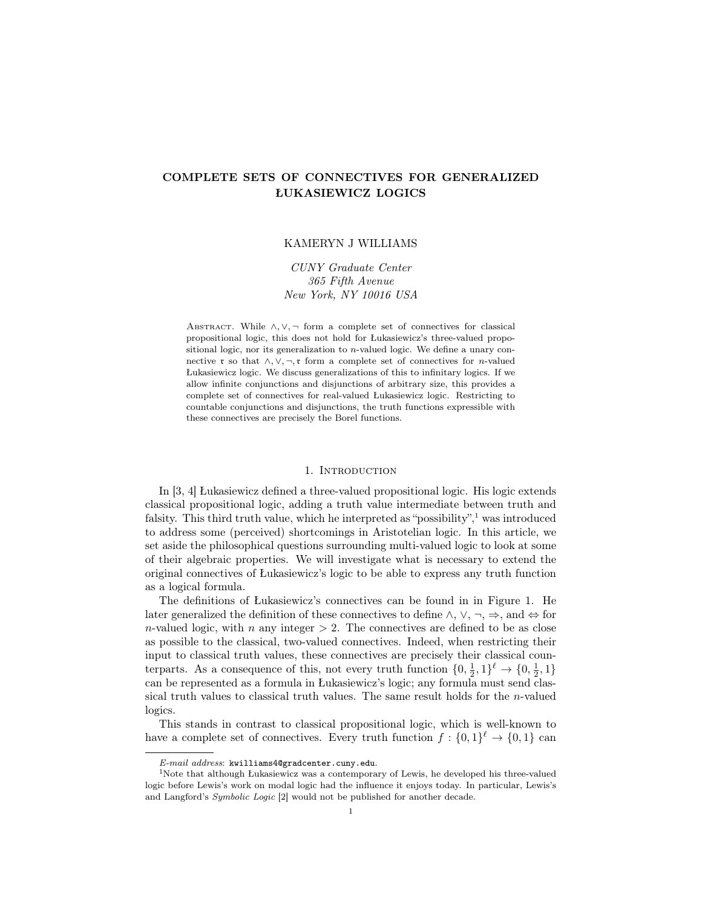# COMPLETE SETS OF CONNECTIVES FOR GENERALIZED ŁUKASIEWICZ LOGICS

# KAMERYN J WILLIAMS

CUNY Graduate Center 365 Fifth Avenue New York, NY 10016 USA

ABSTRACT. While  $\land, \lor, \neg$  form a complete set of connectives for classical propositional logic, this does not hold for Łukasiewicz's three-valued propositional logic, nor its generalization to  $n$ -valued logic. We define a unary connective r so that  $\land, \lor, \neg, r$  form a complete set of connectives for *n*-valued Łukasiewicz logic. We discuss generalizations of this to infinitary logics. If we allow infinite conjunctions and disjunctions of arbitrary size, this provides a complete set of connectives for real-valued Łukasiewicz logic. Restricting to countable conjunctions and disjunctions, the truth functions expressible with these connectives are precisely the Borel functions.

#### 1. INTRODUCTION

In [3, 4] Łukasiewicz defined a three-valued propositional logic. His logic extends classical propositional logic, adding a truth value intermediate between truth and falsity. This third truth value, which he interpreted as "possibility", $\frac{1}{1}$  was introduced to address some (perceived) shortcomings in Aristotelian logic. In this article, we set aside the philosophical questions surrounding multi-valued logic to look at some of their algebraic properties. We will investigate what is necessary to extend the original connectives of Łukasiewicz's logic to be able to express any truth function as a logical formula.

The definitions of Łukasiewicz's connectives can be found in in Figure 1. He later generalized the definition of these connectives to define  $\land$ ,  $\lor$ ,  $\neg$ ,  $\Rightarrow$ , and  $\Leftrightarrow$  for n-valued logic, with n any integer  $> 2$ . The connectives are defined to be as close as possible to the classical, two-valued connectives. Indeed, when restricting their input to classical truth values, these connectives are precisely their classical counterparts. As a consequence of this, not every truth function  $\{0, \frac{1}{2}, 1\}^{\ell} \to \{0, \frac{1}{2}, 1\}$ can be represented as a formula in Łukasiewicz's logic; any formula must send classical truth values to classical truth values. The same result holds for the n-valued logics.

This stands in contrast to classical propositional logic, which is well-known to have a complete set of connectives. Every truth function  $f: \{0,1\}^{\ell} \to \{0,1\}$  can

E-mail address: kwilliams4@gradcenter.cuny.edu.

<sup>&</sup>lt;sup>1</sup>Note that although Łukasiewicz was a contemporary of Lewis, he developed his three-valued logic before Lewis's work on modal logic had the influence it enjoys today. In particular, Lewis's and Langford's Symbolic Logic [2] would not be published for another decade.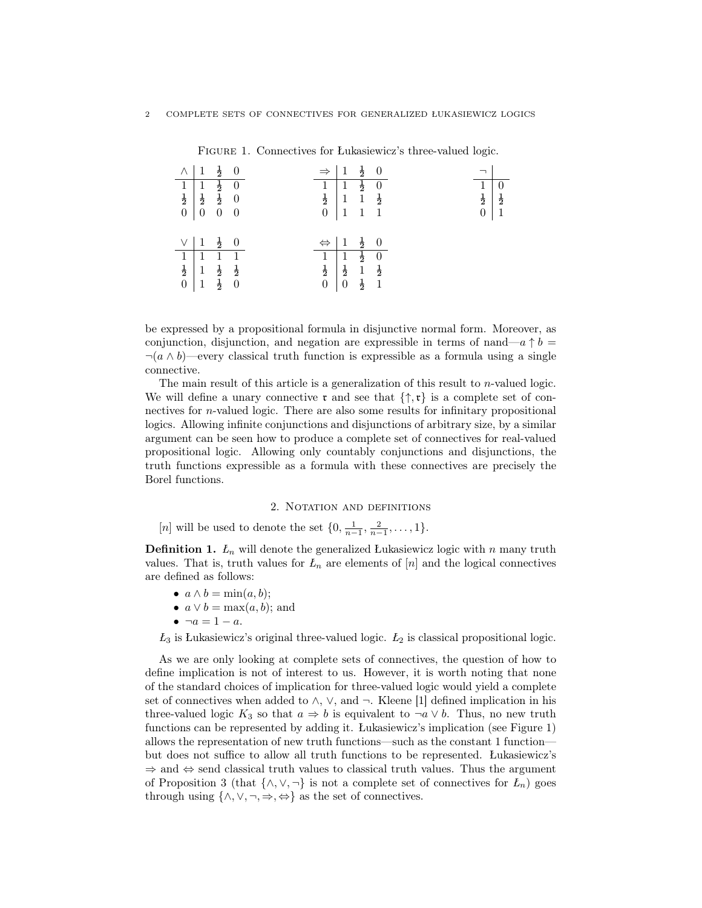|                                                                                                                                                       | $\wedge$ $1\frac{1}{2}$ 0 |  |  |                                                                                                                | $\Rightarrow$   1 $\frac{1}{2}$ 0                                                                                               |  |  |                  |               |
|-------------------------------------------------------------------------------------------------------------------------------------------------------|---------------------------|--|--|----------------------------------------------------------------------------------------------------------------|---------------------------------------------------------------------------------------------------------------------------------|--|--|------------------|---------------|
|                                                                                                                                                       |                           |  |  |                                                                                                                |                                                                                                                                 |  |  | $1\overline{)0}$ |               |
| $\begin{array}{c cc} & \frac{2}{1} & \frac{1}{1} & \frac{1}{2} \\ \hline \frac{1}{2} & \frac{1}{2} & \frac{1}{2} & 0 \\ 0 & 0 & 0 & 0 \\ \end{array}$ |                           |  |  |                                                                                                                | $\begin{array}{ c c c c }\n\hline\n1 & 1 & \frac{1}{2} & 0 \\ \hline\n\frac{1}{2} & 1 & 1 & \frac{1}{2} \\ \hline\n\end{array}$ |  |  | $\frac{1}{2}$    | $\frac{1}{2}$ |
|                                                                                                                                                       |                           |  |  |                                                                                                                | $0 \mid 1 \mid 1 \mid 1$                                                                                                        |  |  | $\boldsymbol{0}$ | $\vert$ 1     |
|                                                                                                                                                       |                           |  |  |                                                                                                                |                                                                                                                                 |  |  |                  |               |
|                                                                                                                                                       | $\vee$ $1\frac{1}{2}$ 0   |  |  |                                                                                                                | $\Leftrightarrow$ $1\frac{1}{2}$ 0                                                                                              |  |  |                  |               |
|                                                                                                                                                       |                           |  |  |                                                                                                                |                                                                                                                                 |  |  |                  |               |
|                                                                                                                                                       |                           |  |  | $\begin{array}{ c c c c }\hline 1&1&\frac{1}{2}&0 \\ \hline 1&\frac{1}{2}&1&\frac{1}{2} \\ \hline \end{array}$ |                                                                                                                                 |  |  |                  |               |
| $\begin{array}{ c c c c }\hline 1&1&1&1\\\hline \frac{1}{2}&1&\frac{1}{2}&\frac{1}{2}\\ 0&1&\frac{1}{2}&0\\ \hline \end{array}$                       |                           |  |  |                                                                                                                | $0 \ \ 0 \ \ \frac{1}{2} \ \ 1$                                                                                                 |  |  |                  |               |
|                                                                                                                                                       |                           |  |  |                                                                                                                |                                                                                                                                 |  |  |                  |               |

FIGURE 1. Connectives for Łukasiewicz's three-valued logic.

 $\overline{\textbf{0}}$  $\frac{1}{2}$ 

be expressed by a propositional formula in disjunctive normal form. Moreover, as conjunction, disjunction, and negation are expressible in terms of nand—a  $\uparrow b =$  $\neg(a \wedge b)$ —every classical truth function is expressible as a formula using a single connective.

The main result of this article is a generalization of this result to  $n$ -valued logic. We will define a unary connective  $\mathfrak{r}$  and see that  $\{\uparrow, \mathfrak{r}\}\)$  is a complete set of connectives for n-valued logic. There are also some results for infinitary propositional logics. Allowing infinite conjunctions and disjunctions of arbitrary size, by a similar argument can be seen how to produce a complete set of connectives for real-valued propositional logic. Allowing only countably conjunctions and disjunctions, the truth functions expressible as a formula with these connectives are precisely the Borel functions.

## 2. NOTATION AND DEFINITIONS

[*n*] will be used to denote the set  $\{0, \frac{1}{n-1}, \frac{2}{n-1}, \dots, 1\}.$ 

**Definition 1.**  $L_n$  will denote the generalized Lukasiewicz logic with n many truth values. That is, truth values for  $L_n$  are elements of  $[n]$  and the logical connectives are defined as follows:

- $a \wedge b = \min(a, b);$
- $a \vee b = \max(a, b)$ ; and
- $\bullet \ \neg a = 1 a.$

 $L_3$  is Łukasiewicz's original three-valued logic.  $L_2$  is classical propositional logic.

As we are only looking at complete sets of connectives, the question of how to define implication is not of interest to us. However, it is worth noting that none of the standard choices of implication for three-valued logic would yield a complete set of connectives when added to  $\wedge$ ,  $\vee$ , and  $\neg$ . Kleene [1] defined implication in his three-valued logic  $K_3$  so that  $a \Rightarrow b$  is equivalent to  $\neg a \lor b$ . Thus, no new truth functions can be represented by adding it. Łukasiewicz's implication (see Figure 1) allows the representation of new truth functions—such as the constant 1 function but does not suffice to allow all truth functions to be represented. Łukasiewicz's  $\Rightarrow$  and  $\Leftrightarrow$  send classical truth values to classical truth values. Thus the argument of Proposition 3 (that  $\{\wedge, \vee, \neg\}$  is not a complete set of connectives for  $L_n$ ) goes through using  $\{\wedge, \vee, \neg, \Rightarrow, \Leftrightarrow\}$  as the set of connectives.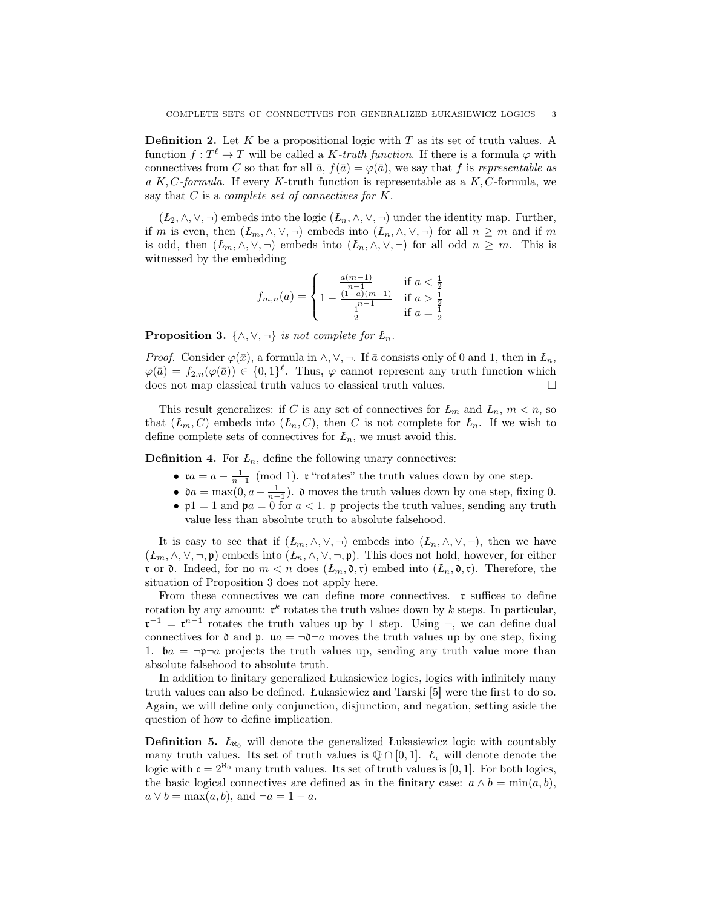**Definition 2.** Let K be a propositional logic with T as its set of truth values. A function  $f: T^{\ell} \to T$  will be called a K-truth function. If there is a formula  $\varphi$  with connectives from C so that for all  $\bar{a}$ ,  $f(\bar{a}) = \varphi(\bar{a})$ , we say that f is representable as a K, C-formula. If every K-truth function is representable as a K, C-formula, we say that  $C$  is a *complete set of connectives for*  $K$ .

 $(L_2, \wedge, \vee, \neg)$  embeds into the logic  $(L_n, \wedge, \vee, \neg)$  under the identity map. Further, if m is even, then  $(L_m, \wedge, \vee, \neg)$  embeds into  $(L_n, \wedge, \vee, \neg)$  for all  $n \geq m$  and if m is odd, then  $(L_m, \wedge, \vee, \neg)$  embeds into  $(L_n, \wedge, \vee, \neg)$  for all odd  $n \geq m$ . This is witnessed by the embedding

$$
f_{m,n}(a) = \begin{cases} \frac{a(m-1)}{n-1} & \text{if } a < \frac{1}{2} \\ 1 - \frac{(1-a)(m-1)}{n-1} & \text{if } a > \frac{1}{2} \\ \frac{1}{2} & \text{if } a = \frac{1}{2} \end{cases}
$$

**Proposition 3.** { $\land$ ,  $\lor$ ,  $\neg$ } *is not complete for*  $L_n$ .

*Proof.* Consider  $\varphi(\bar{x})$ , a formula in  $\wedge$ ,  $\vee$ ,  $\neg$ . If  $\bar{a}$  consists only of 0 and 1, then in  $L_n$ ,  $\varphi(\bar{a}) = f_{2,n}(\varphi(\bar{a})) \in \{0,1\}^{\ell}$ . Thus,  $\varphi$  cannot represent any truth function which does not map classical truth values to classical truth values.  $\Box$ 

This result generalizes: if C is any set of connectives for  $L_m$  and  $L_n$ ,  $m < n$ , so that  $(L_m, C)$  embeds into  $(L_n, C)$ , then C is not complete for  $L_n$ . If we wish to define complete sets of connectives for  $L_n$ , we must avoid this.

**Definition 4.** For  $L_n$ , define the following unary connectives:

- $\mathfrak{r}a = a \frac{1}{n-1} \pmod{1}$ .  $\mathfrak{r}$  "rotates" the truth values down by one step.
- $\mathfrak{d}a = \max(0, a \frac{1}{n-1})$ .  $\mathfrak{d}$  moves the truth values down by one step, fixing 0.
- $p1 = 1$  and  $pa = 0$  for  $a < 1$ . p projects the truth values, sending any truth value less than absolute truth to absolute falsehood.

It is easy to see that if  $(L_m, \wedge, \vee, \neg)$  embeds into  $(L_n, \wedge, \vee, \neg)$ , then we have  $(L_m, \wedge, \vee, \neg, \mathfrak{p})$  embeds into  $(L_n, \wedge, \vee, \neg, \mathfrak{p})$ . This does not hold, however, for either **r** or **0**. Indeed, for no  $m < n$  does  $(L_m, \mathfrak{d}, \mathfrak{r})$  embed into  $(L_n, \mathfrak{d}, \mathfrak{r})$ . Therefore, the situation of Proposition 3 does not apply here.

From these connectives we can define more connectives.  $\mathfrak{r}$  suffices to define rotation by any amount:  $\mathfrak{r}^k$  rotates the truth values down by k steps. In particular,  $\mathfrak{r}^{-1} = \mathfrak{r}^{n-1}$  rotates the truth values up by 1 step. Using  $\neg$ , we can define dual connectives for  $\mathfrak d$  and  $\mathfrak p$ .  $\mathfrak u a = \neg \mathfrak d \neg a$  moves the truth values up by one step, fixing 1.  $ba = \neg p \neg a$  projects the truth values up, sending any truth value more than absolute falsehood to absolute truth.

In addition to finitary generalized Łukasiewicz logics, logics with infinitely many truth values can also be defined. Łukasiewicz and Tarski [5] were the first to do so. Again, we will define only conjunction, disjunction, and negation, setting aside the question of how to define implication.

**Definition 5.**  $L_{\aleph_0}$  will denote the generalized Łukasiewicz logic with countably many truth values. Its set of truth values is  $\mathbb{Q} \cap [0,1]$ .  $\mathcal{L}_{c}$  will denote denote the logic with  $\mathfrak{c} = 2^{\aleph_0}$  many truth values. Its set of truth values is [0, 1]. For both logics, the basic logical connectives are defined as in the finitary case:  $a \wedge b = \min(a, b)$ ,  $a \vee b = \max(a, b)$ , and  $\neg a = 1 - a$ .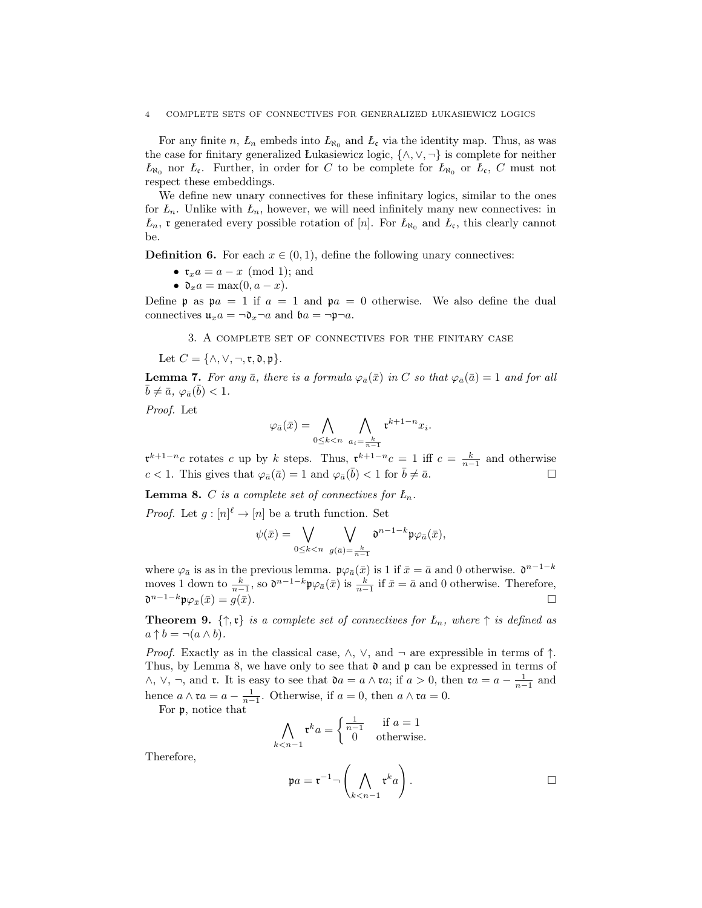#### 4 COMPLETE SETS OF CONNECTIVES FOR GENERALIZED ŁUKASIEWICZ LOGICS

For any finite n,  $L_n$  embeds into  $L_{\aleph_0}$  and  $L_{\mathfrak{c}}$  via the identity map. Thus, as was the case for finitary generalized Łukasiewicz logic,  $\{\wedge, \vee, \neg\}$  is complete for neither  $L_{\aleph_0}$  nor  $L_c$ . Further, in order for C to be complete for  $L_{\aleph_0}$  or  $L_c$ , C must not respect these embeddings.

We define new unary connectives for these infinitary logics, similar to the ones for  $L_n$ . Unlike with  $L_n$ , however, we will need infinitely many new connectives: in  $L_n$ , **r** generated every possible rotation of [n]. For  $L_{\aleph_0}$  and  $L_c$ , this clearly cannot be.

**Definition 6.** For each  $x \in (0, 1)$ , define the following unary connectives:

- $\mathfrak{r}_xa=a-x \pmod{1}$ ; and
- $\mathfrak{d}_x a = \max(0, a x)$ .

Define **p** as  $pa = 1$  if  $a = 1$  and  $pa = 0$  otherwise. We also define the dual connectives  $\mathfrak{u}_x a = \neg \mathfrak{d}_x \neg a$  and  $\mathfrak{b} a = \neg \mathfrak{p} \neg a$ .

3. A complete set of connectives for the finitary case

Let  $C = \{ \wedge, \vee, \neg, \mathfrak{r}, \mathfrak{d}, \mathfrak{p} \}.$ 

**Lemma 7.** For any  $\bar{a}$ , there is a formula  $\varphi_{\bar{a}}(\bar{x})$  in C so that  $\varphi_{\bar{a}}(\bar{a}) = 1$  and for all  $\bar{b} \neq \bar{a}, \varphi_{\bar{a}}(\bar{b}) < 1.$ 

Proof. Let

$$
\varphi_{\bar{a}}(\bar{x}) = \bigwedge_{0 \le k < n} \bigwedge_{a_i = \frac{k}{n-1}} \mathfrak{r}^{k+1-n} x_i.
$$

 $\mathfrak{r}^{k+1-n}c$  rotates c up by k steps. Thus,  $\mathfrak{r}^{k+1-n}c = 1$  iff  $c = \frac{k}{n-1}$  and otherwise  $c < 1$ . This gives that  $\varphi_{\bar{a}}(\bar{a}) = 1$  and  $\varphi_{\bar{a}}(\bar{b}) < 1$  for  $\bar{b} \neq \bar{a}$ .

**Lemma 8.** C is a complete set of connectives for  $L_n$ .

*Proof.* Let  $g: [n]^{\ell} \to [n]$  be a truth function. Set

$$
\psi(\bar{x}) = \bigvee_{0 \leq k < n} \bigvee_{g(\bar{a}) = \frac{k}{n-1}} \mathfrak{d}^{n-1-k} \mathfrak{p} \varphi_{\bar{a}}(\bar{x}),
$$

where  $\varphi_{\bar{a}}$  is as in the previous lemma.  $\mathfrak{p}\varphi_{\bar{a}}(\bar{x})$  is 1 if  $\bar{x}=\bar{a}$  and 0 otherwise.  $\mathfrak{d}^{n-1-k}$ moves 1 down to  $\frac{k}{n-1}$ , so  $\mathfrak{d}^{n-1-k} \mathfrak{p} \varphi_{\bar{a}}(\bar{x})$  is  $\frac{k}{n-1}$  if  $\bar{x} = \bar{a}$  and 0 otherwise. Therefore,  $\mathfrak{d}^{n-1-k}\mathfrak{p}\varphi_{\bar{x}}(\bar{x})=g(\bar{x}).$ 

**Theorem 9.**  $\{\uparrow, \mathfrak{r}\}\$ is a complete set of connectives for  $L_n$ , where  $\uparrow$  is defined as  $a \uparrow b = \neg(a \wedge b).$ 

*Proof.* Exactly as in the classical case,  $\wedge$ ,  $\vee$ , and  $\neg$  are expressible in terms of  $\uparrow$ . Thus, by Lemma 8, we have only to see that  $\mathfrak d$  and  $\mathfrak p$  can be expressed in terms of  $\wedge$ ,  $\vee$ ,  $\neg$ , and **r**. It is easy to see that  $\mathfrak{d}a = a \wedge \mathfrak{r}a$ ; if  $a > 0$ , then  $\mathfrak{r}a = a - \frac{1}{n-1}$  and hence  $a \wedge \mathfrak{r}a = a - \frac{1}{n-1}$ . Otherwise, if  $a = 0$ , then  $a \wedge \mathfrak{r}a = 0$ .

For p, notice that

$$
\bigwedge_{k < n-1} \mathfrak{r}^k a = \begin{cases} \frac{1}{n-1} & \text{if } a = 1\\ 0 & \text{otherwise.} \end{cases}
$$

Therefore,

$$
\mathfrak{p}a = \mathfrak{r}^{-1} \neg \left( \bigwedge_{k < n-1} \mathfrak{r}^k a \right).
$$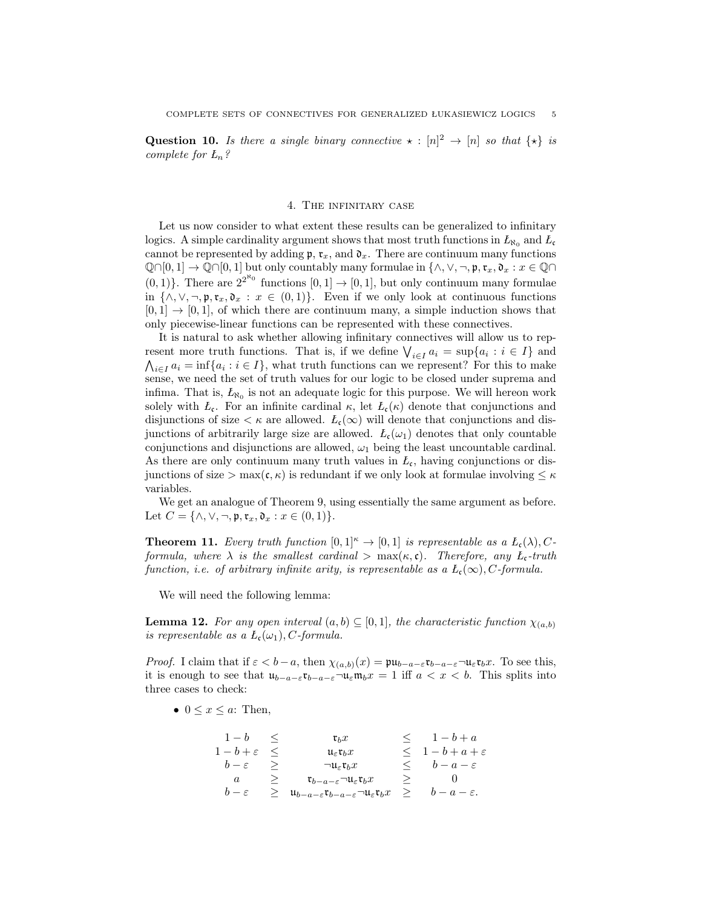**Question 10.** Is there a single binary connective  $\star : [n]^2 \rightarrow [n]$  so that  $\{\star\}$  is complete for  $L_n$ ?

#### 4. The infinitary case

Let us now consider to what extent these results can be generalized to infinitary logics. A simple cardinality argument shows that most truth functions in  $L_{\aleph_0}$  and  $L_c$ cannot be represented by adding  $\mathfrak{p}, \mathfrak{r}_x$ , and  $\mathfrak{d}_x$ . There are continuum many functions  $\mathbb{Q}\cap[0,1]\to\mathbb{Q}\cap[0,1]$  but only countably many formulae in  $\{\wedge,\vee,\neg,\mathfrak{p},\mathfrak{r}_x,\mathfrak{d}_x:x\in\mathbb{Q}\cap\mathfrak{g}\}$  $(0, 1)$ . There are  $2^{2^{\aleph_0}}$  functions  $[0, 1] \rightarrow [0, 1]$ , but only continuum many formulae in  $\{\wedge, \vee, \neg, \mathfrak{p}, \mathfrak{r}_x, \mathfrak{d}_x : x \in (0,1)\}.$  Even if we only look at continuous functions  $[0, 1] \rightarrow [0, 1]$ , of which there are continuum many, a simple induction shows that only piecewise-linear functions can be represented with these connectives.

It is natural to ask whether allowing infinitary connectives will allow us to represent more truth functions. That is, if we define  $\bigvee_{i\in I} a_i = \sup\{a_i : i \in I\}$  and  $\bigwedge_{i\in I} a_i = \inf\{a_i : i \in I\}$ , what truth functions can we represent? For this to make sense, we need the set of truth values for our logic to be closed under suprema and infima. That is,  $L_{\aleph_0}$  is not an adequate logic for this purpose. We will hereon work solely with  $L_c$ . For an infinite cardinal  $\kappa$ , let  $L_c(\kappa)$  denote that conjunctions and disjunctions of size  $\lt \kappa$  are allowed.  $L_c(\infty)$  will denote that conjunctions and disjunctions of arbitrarily large size are allowed.  $L_c(\omega_1)$  denotes that only countable conjunctions and disjunctions are allowed,  $\omega_1$  being the least uncountable cardinal. As there are only continuum many truth values in  $L_c$ , having conjunctions or disjunctions of size > max( $\mathfrak{c}, \kappa$ ) is redundant if we only look at formulae involving  $\leq \kappa$ variables.

We get an analogue of Theorem 9, using essentially the same argument as before. Let  $C = {\wedge, \vee, \neg, \mathfrak{p}, \mathfrak{r}_x, \mathfrak{d}_x : x \in (0,1)}.$ 

**Theorem 11.** Every truth function  $[0,1]^{\kappa} \to [0,1]$  is representable as a  $L_c(\lambda), C$ formula, where  $\lambda$  is the smallest cardinal  $\gt$  max $(\kappa, \mathfrak{c})$ . Therefore, any  $L_{\mathfrak{c}}$ -truth function, i.e. of arbitrary infinite arity, is representable as a  $L_c(\infty)$ , C-formula.

We will need the following lemma:

**Lemma 12.** For any open interval  $(a, b) \subseteq [0, 1]$ , the characteristic function  $\chi_{(a, b)}$ is representable as a  $L_c(\omega_1)$ , C-formula.

*Proof.* I claim that if  $\varepsilon < b-a$ , then  $\chi_{(a,b)}(x) = \mathfrak{pu}_{b-a-\varepsilon} \mathfrak{rv}_{b-a-\varepsilon} \neg \mathfrak{u}_{\varepsilon} \mathfrak{r}_b x$ . To see this, it is enough to see that  $u_{b-a-\varepsilon}$ **t**<sub>b−a− $\varepsilon$ </sub>¬ $u_{\varepsilon}$ **m**<sub>b</sub> $x = 1$  iff  $a < x < b$ . This splits into three cases to check:

•  $0 \leq x \leq a$ : Then,

| $1-b \leq$             | $\mathfrak{r}_h x$                                                                                      |            | $\leq 1-b+a$             |
|------------------------|---------------------------------------------------------------------------------------------------------|------------|--------------------------|
| $1-b+\varepsilon \leq$ | $\mathfrak{u}_{\varepsilon} \mathfrak{r}_h x$                                                           |            | $\leq 1-b+a+\varepsilon$ |
| $b-\varepsilon$ >      | $\neg u_{\varepsilon}$ t <sub>h</sub> $x$                                                               |            | $\lt b-a-\varepsilon$    |
| a                      | $\geq \t t_{b-a-\varepsilon} \neg \mathfrak{u}_{\varepsilon} \mathfrak{r}_b x$                          |            | > 0                      |
| $b-\varepsilon$        | $\geq u_{b-a-\varepsilon}$ $\mathfrak{r}_{b-a-\varepsilon}$ $\neg u_{\varepsilon}$ $\mathfrak{r}_b$ $x$ | $>$ $\geq$ | $b-a-\varepsilon$ .      |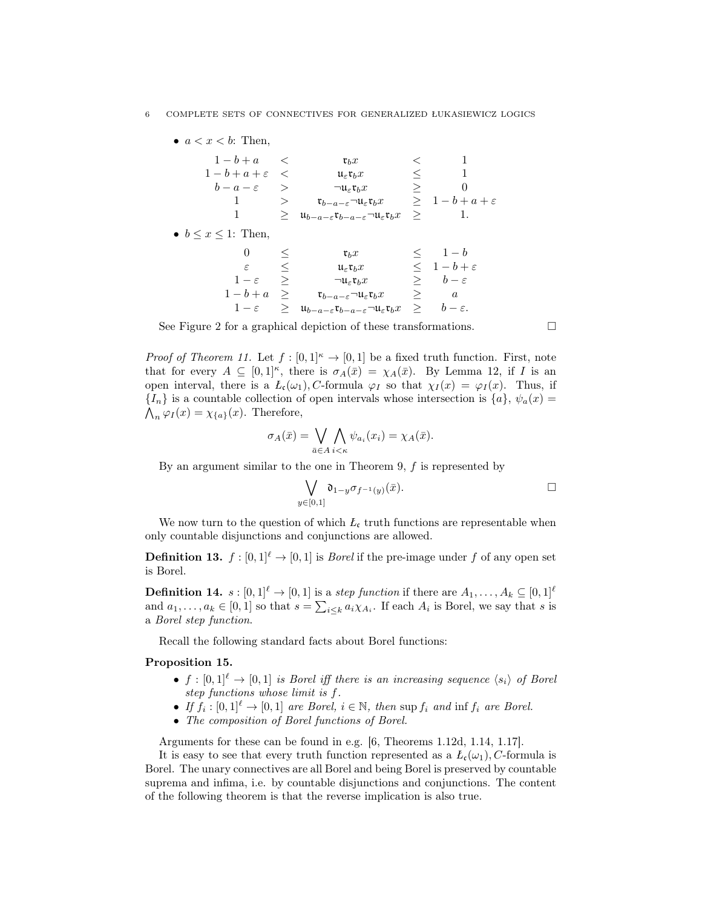| $\bullet$ $a < x < b$ : Then, |               |                                                                                                                   |        |                          |
|-------------------------------|---------------|-------------------------------------------------------------------------------------------------------------------|--------|--------------------------|
| $1-b+a$                       | $\sim$ $<$    | $\mathfrak{r}_b x$                                                                                                |        |                          |
| $1-b+a+\varepsilon <$         |               | $\mathfrak{u}_{\varepsilon} \mathfrak{r}_b x$                                                                     | $\lt$  |                          |
| $b-a-\varepsilon$             | $\rightarrow$ | $\neg u_{\varepsilon}$ $\mathfrak{r}_b x$                                                                         | $\geq$ | 0                        |
| 1                             | >             | $\mathfrak{r}_{b-a-\varepsilon}$ $\neg \mathfrak{u}_{\varepsilon} \mathfrak{r}_b x$                               |        | $\geq 1-b+a+\varepsilon$ |
|                               | >             | $\mathfrak{u}_{b-a-\varepsilon}\mathfrak{r}_{b-a-\varepsilon}$ $\neg \mathfrak{u}_{\varepsilon}\mathfrak{r}_{b}x$ | $\geq$ | - 1.                     |
| • $b \leq x \leq 1$ : Then,   |               |                                                                                                                   |        |                          |
| $\Omega$                      |               | $\mathfrak{r}_h x$                                                                                                |        | $\leq 1-b$               |
| ε                             | $\leq$        | $\mathfrak{u}_{\varepsilon} \mathfrak{r}_b x$                                                                     |        | $\leq 1-b+\varepsilon$   |
| $1-\varepsilon$               | $\geq$        | $\neg u_{\varepsilon}$ <b><math>\mathfrak{r}_b x</math></b>                                                       |        | $\geq$ $b-\varepsilon$   |
| $1-b+a \geq$                  |               | $\mathfrak{r}_{b-a-\varepsilon}$ $\neg \mathfrak{u}_{\varepsilon} \mathfrak{r}_b x$                               | $\geq$ | $\it a$                  |
| $1-\varepsilon$               | $\geq$        | $\mathfrak{u}_{b-a-\varepsilon}\mathfrak{r}_{b-a-\varepsilon}$ $\neg \mathfrak{u}_{\varepsilon}\mathfrak{r}_{b}x$ | $\geq$ | $b-\varepsilon$ .        |

See Figure 2 for a graphical depiction of these transformations.  $\Box$ 

*Proof of Theorem 11.* Let  $f : [0,1]^{\kappa} \to [0,1]$  be a fixed truth function. First, note that for every  $A \subseteq [0,1]^{\kappa}$ , there is  $\sigma_A(\bar{x}) = \chi_A(\bar{x})$ . By Lemma 12, if I is an open interval, there is a  $L_c(\omega_1)$ , C-formula  $\varphi_I$  so that  $\chi_I(x) = \varphi_I(x)$ . Thus, if  ${I_n}$  is a countable collection of open intervals whose intersection is  ${a}$ ,  $\psi_a(x)$  $\bigwedge_n \varphi_I(x) = \chi_{\{a\}}(x)$ . Therefore,

$$
\sigma_A(\bar{x}) = \bigvee_{\bar{a} \in A} \bigwedge_{i < \kappa} \psi_{a_i}(x_i) = \chi_A(\bar{x}).
$$

By an argument similar to the one in Theorem 9, f is represented by

$$
\bigvee_{y\in[0,1]}\mathfrak{d}_{1-y}\sigma_{f^{-1}(y)}(\bar{x}).\qquad \qquad \Box
$$

We now turn to the question of which  $L_{c}$  truth functions are representable when only countable disjunctions and conjunctions are allowed.

**Definition 13.**  $f : [0, 1]^{\ell} \to [0, 1]$  is *Borel* if the pre-image under f of any open set is Borel.

**Definition 14.**  $s : [0, 1]^{\ell} \to [0, 1]$  is a step function if there are  $A_1, \ldots, A_k \subseteq [0, 1]^{\ell}$ and  $a_1, \ldots, a_k \in [0,1]$  so that  $s = \sum_{i \leq k} a_i \chi_{A_i}$ . If each  $A_i$  is Borel, we say that s is a Borel step function.

Recall the following standard facts about Borel functions:

## Proposition 15.

- $f : [0,1]^{\ell} \to [0,1]$  is Borel iff there is an increasing sequence  $\langle s_i \rangle$  of Borel step functions whose limit is f.
- If  $f_i : [0,1]^{\ell} \to [0,1]$  are Borel,  $i \in \mathbb{N}$ , then sup  $f_i$  and inf  $f_i$  are Borel.
- The composition of Borel functions of Borel.

Arguments for these can be found in e.g. [6, Theorems 1.12d, 1.14, 1.17].

It is easy to see that every truth function represented as a  $L_{\mathfrak{c}}(\omega_1)$ , C-formula is Borel. The unary connectives are all Borel and being Borel is preserved by countable suprema and infima, i.e. by countable disjunctions and conjunctions. The content of the following theorem is that the reverse implication is also true.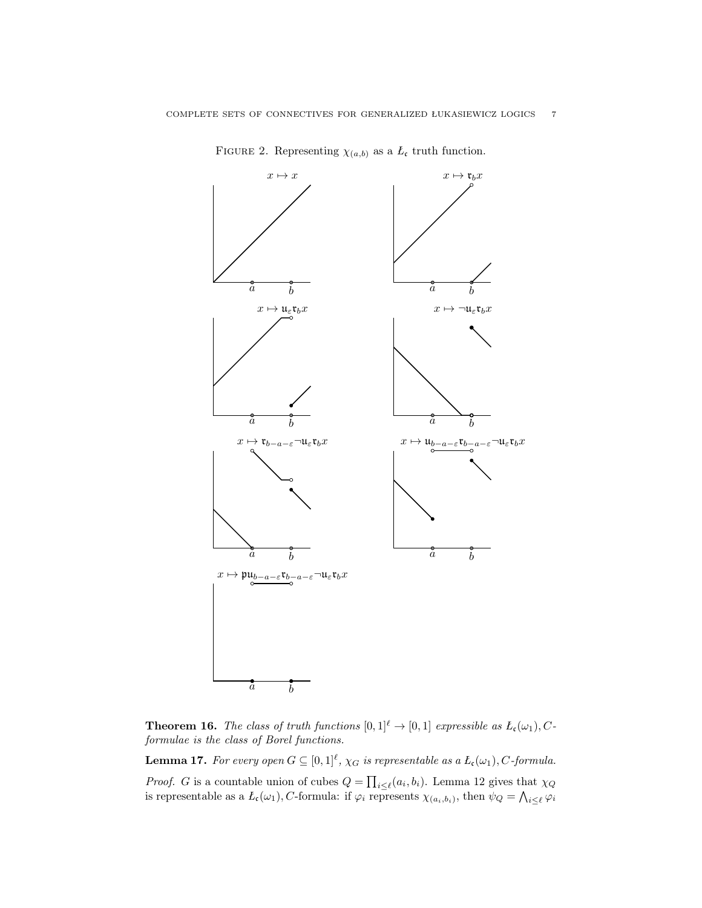

FIGURE 2. Representing  $\chi_{(a,b)}$  as a  $L_c$  truth function.

**Theorem 16.** The class of truth functions  $[0,1]^{\ell} \rightarrow [0,1]$  expressible as  $L_c(\omega_1), C$ formulae is the class of Borel functions.

**Lemma 17.** For every open  $G \subseteq [0,1]^{\ell}$ ,  $\chi_G$  is representable as a  $L_c(\omega_1)$ , C-formula. *Proof.* G is a countable union of cubes  $Q = \prod_{i \leq \ell} (a_i, b_i)$ . Lemma 12 gives that  $\chi_Q$ is representable as a  $L_c(\omega_1)$ , C-formula: if  $\varphi_i$  represents  $\chi_{(a_i,b_i)}$ , then  $\psi_Q = \bigwedge_{i \leq \ell} \varphi_i$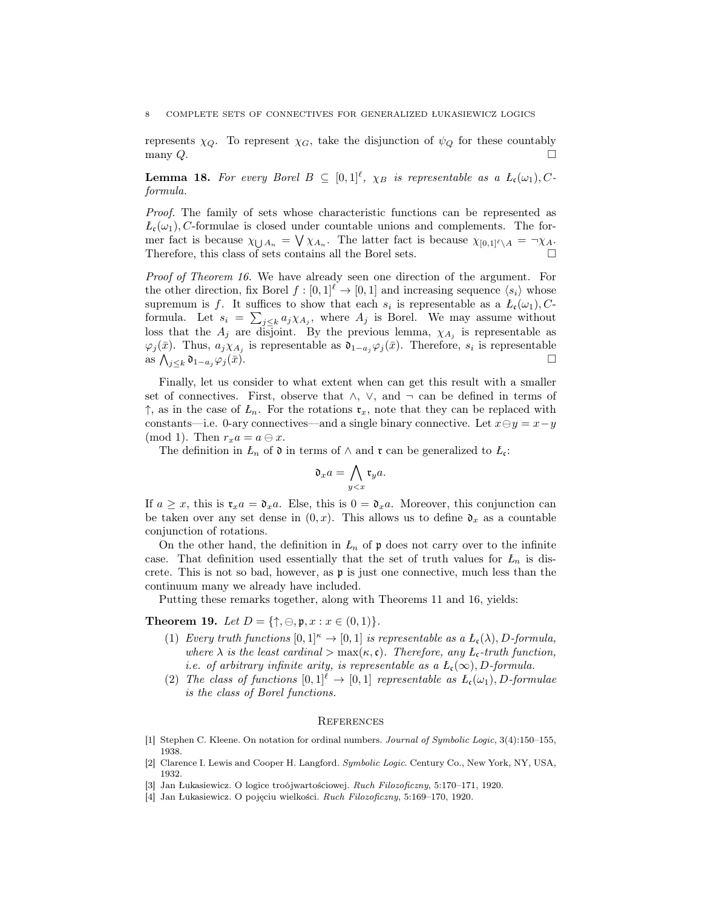represents  $\chi_Q$ . To represent  $\chi_G$ , take the disjunction of  $\psi_Q$  for these countably many  $Q$ .

**Lemma 18.** For every Borel  $B \subseteq [0,1]^{\ell}$ ,  $\chi_B$  is representable as a  $L_c(\omega_1), C$ formula.

Proof. The family of sets whose characteristic functions can be represented as  $L_{\epsilon}(\omega_1)$ , C-formulae is closed under countable unions and complements. The former fact is because  $\chi_{\bigcup A_n} = \bigvee \chi_{A_n}$ . The latter fact is because  $\chi_{[0,1]^\ell \setminus A} = \neg \chi_A$ . Therefore, this class of sets contains all the Borel sets.

Proof of Theorem 16. We have already seen one direction of the argument. For the other direction, fix Borel  $f : [0,1]^{\ell} \to [0,1]$  and increasing sequence  $\langle s_i \rangle$  whose supremum is f. It suffices to show that each  $s_i$  is representable as a  $L_c(\omega_1)$ , Cformula. Let  $s_i = \sum_{j \leq k} a_j \chi_{A_j}$ , where  $A_j$  is Borel. We may assume without loss that the  $A_j$  are disjoint. By the previous lemma,  $\chi_{A_j}$  is representable as  $\varphi_j(\bar{x})$ . Thus,  $a_j \chi_{A_j}$  is representable as  $\mathfrak{d}_{1-a_j} \varphi_j(\bar{x})$ . Therefore,  $s_i$  is representable as  $\bigwedge_{j\leq k}$  0<sub>1-aj</sub> $\varphi_j(\bar{x})$ .

Finally, let us consider to what extent when can get this result with a smaller set of connectives. First, observe that  $\wedge$ ,  $\vee$ , and  $\neg$  can be defined in terms of  $\uparrow$ , as in the case of  $L_n$ . For the rotations  $\mathfrak{r}_x$ , note that they can be replaced with constants—i.e. 0-ary connectives—and a single binary connective. Let  $x \ominus y = x - y$ (mod 1). Then  $r_x a = a \ominus x$ .

The definition in  $L_n$  of  $\mathfrak d$  in terms of  $\wedge$  and  $\mathfrak r$  can be generalized to  $L_{\mathfrak c}$ :

$$
\mathfrak{d}_x a = \bigwedge_{y
$$

If  $a \geq x$ , this is  $\mathfrak{r}_x a = \mathfrak{d}_x a$ . Else, this is  $0 = \mathfrak{d}_x a$ . Moreover, this conjunction can be taken over any set dense in  $(0, x)$ . This allows us to define  $\mathfrak{d}_x$  as a countable conjunction of rotations.

On the other hand, the definition in  $L_n$  of  $\mathfrak p$  does not carry over to the infinite case. That definition used essentially that the set of truth values for  $L_n$  is discrete. This is not so bad, however, as  $\mathfrak p$  is just one connective, much less than the continuum many we already have included.

Putting these remarks together, along with Theorems 11 and 16, yields:

**Theorem 19.** Let  $D = \{\uparrow, \ominus, \mathfrak{p}, x : x \in (0,1)\}.$ 

- (1) Every truth functions  $[0,1]^{\kappa} \to [0,1]$  is representable as a  $L_c(\lambda)$ , D-formula, where  $\lambda$  is the least cardinal  $>\max(\kappa, \mathfrak{c})$ . Therefore, any  $L_{\mathfrak{c}}$ -truth function, i.e. of arbitrary infinite arity, is representable as a  $L_c(\infty)$ , D-formula.
- (2) The class of functions  $[0, 1]^{\ell} \rightarrow [0, 1]$  representable as  $L_c(\omega_1)$ , D-formulae is the class of Borel functions.

#### **REFERENCES**

- [1] Stephen C. Kleene. On notation for ordinal numbers. Journal of Symbolic Logic, 3(4):150–155, 1938.
- [2] Clarence I. Lewis and Cooper H. Langford. Symbolic Logic. Century Co., New York, NY, USA, 1932.
- [3] Jan Łukasiewicz. O logice troójwartościowej. Ruch Filozoficzny, 5:170–171, 1920.
- [4] Jan Łukasiewicz. O pojęciu wielkości. Ruch Filozoficzny, 5:169–170, 1920.